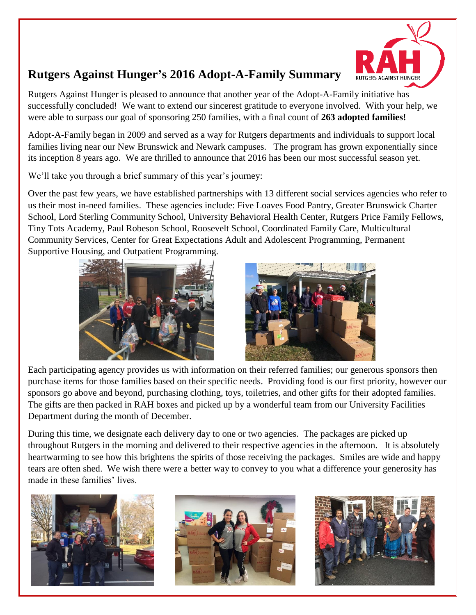

## **Rutgers Against Hunger's 2016 Adopt-A-Family Summary**

Rutgers Against Hunger is pleased to announce that another year of the Adopt-A-Family initiative has successfully concluded! We want to extend our sincerest gratitude to everyone involved. With your help, we were able to surpass our goal of sponsoring 250 families, with a final count of **263 adopted families!**

Adopt-A-Family began in 2009 and served as a way for Rutgers departments and individuals to support local families living near our New Brunswick and Newark campuses. The program has grown exponentially since its inception 8 years ago. We are thrilled to announce that 2016 has been our most successful season yet.

We'll take you through a brief summary of this year's journey:

Over the past few years, we have established partnerships with 13 different social services agencies who refer to us their most in-need families. These agencies include: Five Loaves Food Pantry, Greater Brunswick Charter School, Lord Sterling Community School, University Behavioral Health Center, Rutgers Price Family Fellows, Tiny Tots Academy, Paul Robeson School, Roosevelt School, Coordinated Family Care, Multicultural Community Services, Center for Great Expectations Adult and Adolescent Programming, Permanent Supportive Housing, and Outpatient Programming.





Each participating agency provides us with information on their referred families; our generous sponsors then purchase items for those families based on their specific needs. Providing food is our first priority, however our sponsors go above and beyond, purchasing clothing, toys, toiletries, and other gifts for their adopted families. The gifts are then packed in RAH boxes and picked up by a wonderful team from our University Facilities Department during the month of December.

During this time, we designate each delivery day to one or two agencies. The packages are picked up throughout Rutgers in the morning and delivered to their respective agencies in the afternoon. It is absolutely heartwarming to see how this brightens the spirits of those receiving the packages. Smiles are wide and happy tears are often shed. We wish there were a better way to convey to you what a difference your generosity has made in these families' lives.